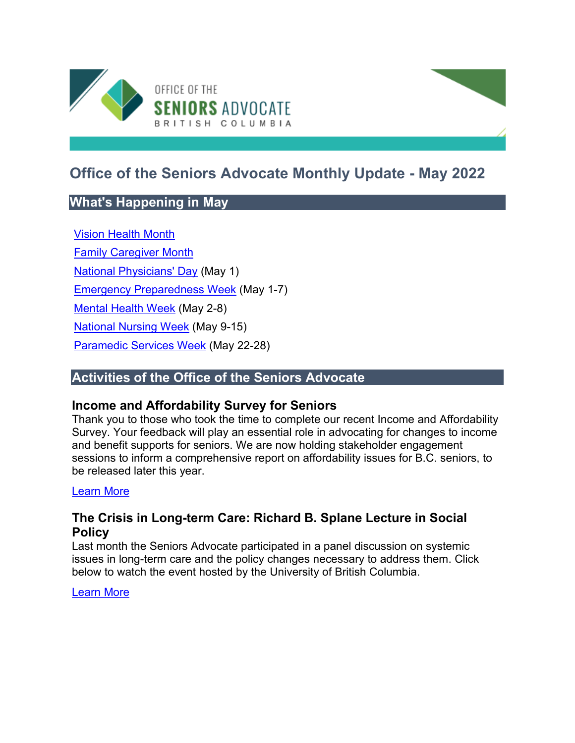

# **Office of the Seniors Advocate Monthly Update - May 2022**

# **What's Happening in May**

[Vision Health Month](https://opto.ca/) [Family Caregiver Month](https://www.familycaregiversbc.ca/archives/15080) [National Physicians' Day](https://www.cma.ca/) (May 1) [Emergency Preparedness Week](https://www.getprepared.gc.ca/cnt/rsrcs/ep-wk/index-en.aspx) (May 1-7) [Mental Health Week](https://www.mentalhealthweek.ca/) (May 2-8) [National Nursing Week](https://www.cna-aiic.ca/en/news-events/national-nursing-week) (May 9-15) [Paramedic Services Week](https://www.paramedicchiefs.ca/paramedic-services-week-2022/) (May 22-28)

# **Activities of the Office of the Seniors Advocate**

## **Income and Affordability Survey for Seniors**

Thank you to those who took the time to complete our recent Income and Affordability Survey. Your feedback will play an essential role in advocating for changes to income and benefit supports for seniors. We are now holding stakeholder engagement sessions to inform a comprehensive report on affordability issues for B.C. seniors, to be released later this year.

#### [Learn More](https://www.seniorsadvocatebc.ca/current-issues/income-and-affordability-survey-2022/)

## **The Crisis in Long-term Care: Richard B. Splane Lecture in Social Policy**

Last month the Seniors Advocate participated in a panel discussion on systemic issues in long-term care and the policy changes necessary to address them. Click below to watch the event hosted by the University of British Columbia.

[Learn More](https://sppga.ubc.ca/events/event/the-crisis-in-long-term-care-richard-b-splane-lecture-in-social-policy/)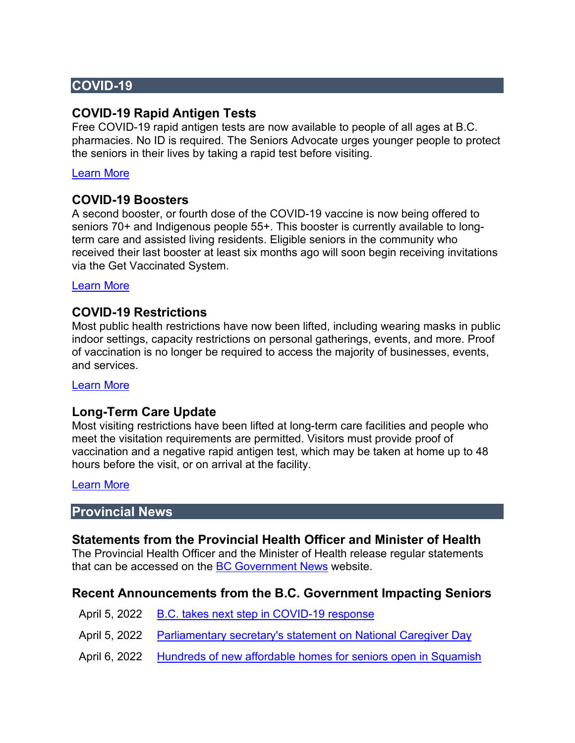# **COVID-19**

### **COVID-19 Rapid Antigen Tests**

Free COVID-19 rapid antigen tests are now available to people of all ages at B.C. pharmacies. No ID is required. The Seniors Advocate urges younger people to protect the seniors in their lives by taking a rapid test before visiting.

#### [Learn More](https://www2.gov.bc.ca/gov/content/covid-19/info/testing)

#### **COVID-19 Boosters**

A second booster, or fourth dose of the COVID-19 vaccine is now being offered to seniors 70+ and Indigenous people 55+. This booster is currently available to longterm care and assisted living residents. Eligible seniors in the community who received their last booster at least six months ago will soon begin receiving invitations via the Get Vaccinated System.

[Learn More](https://www2.gov.bc.ca/gov/content/covid-19/vaccine/booster) 

#### **COVID-19 Restrictions**

Most public health restrictions have now been lifted, including wearing masks in public indoor settings, capacity restrictions on personal gatherings, events, and more. Proof of vaccination is no longer be required to access the majority of businesses, events, and services.

[Learn More](https://www2.gov.bc.ca/gov/content/covid-19/info/restrictions) 

#### **Long-Term Care Update**

Most visiting restrictions have been lifted at long-term care facilities and people who meet the visitation requirements are permitted. Visitors must provide proof of vaccination and a negative rapid antigen test, which may be taken at home up to 48 hours before the visit, or on arrival at the facility.

[Learn More](http://www.bccdc.ca/Health-Info-Site/Documents/Visitors_Long-Term_Care_Seniors_Assisted_Living.pdf) 

#### **Provincial News**

#### **Statements from the Provincial Health Officer and Minister of Health**

The Provincial Health Officer and the Minister of Health release regular statements that can be accessed on the [BC Government News](https://news.gov.bc.ca/) website.

#### **Recent Announcements from the B.C. Government Impacting Seniors**

- April 5, 2022 [B.C. takes next step in COVID-19 response](https://news.gov.bc.ca/releases/2022HLTH0112-000501)
- April 5, 2022 [Parliamentary secretary's statement on National Caregiver Day](https://news.gov.bc.ca/releases/2022HLTH0108-000490)
- April 6, 2022 [Hundreds of new affordable homes for seniors open in Squamish](https://news.gov.bc.ca/releases/2022AG0055-000507)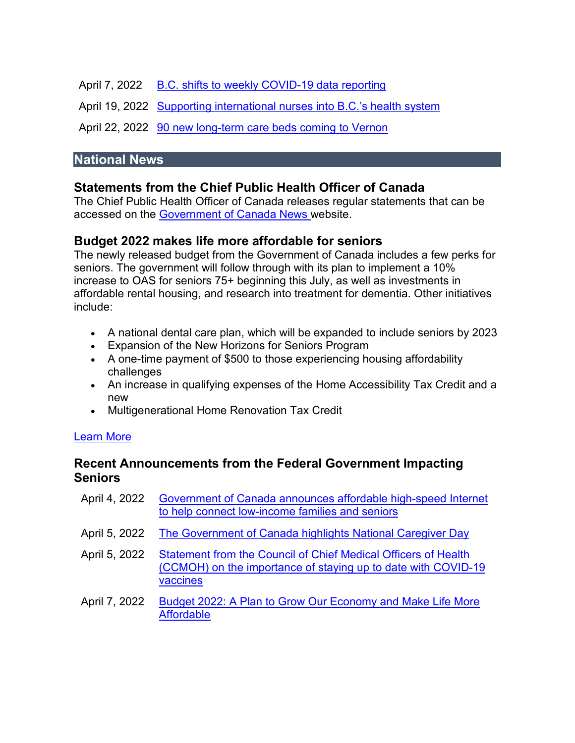April 7, 2022 [B.C. shifts to weekly COVID-19 data reporting](https://news.gov.bc.ca/releases/2022HLTH0116-000522) 

April 19, 2022 [Supporting international nurses into B.C.'s health system](https://news.gov.bc.ca/releases/2022HLTH0120-000589) 

April 22, 2022 90 new long-term care beds coming to Vernon

## **National News**

# **Statements from the Chief Public Health Officer of Canada**

The Chief Public Health Officer of Canada releases regular statements that can be accessed on the [Government of Canada News w](https://www.canada.ca/en/news.html)ebsite.

# **Budget 2022 makes life more affordable for seniors**

The newly released budget from the Government of Canada includes a few perks for seniors. The government will follow through with its plan to implement a 10% increase to OAS for seniors 75+ beginning this July, as well as investments in affordable rental housing, and research into treatment for dementia. Other initiatives include:

- A national dental care plan, which will be expanded to include seniors by 2023
- Expansion of the New Horizons for Seniors Program
- A one-time payment of \$500 to those experiencing housing affordability challenges
- An increase in qualifying expenses of the Home Accessibility Tax Credit and a new
- Multigenerational Home Renovation Tax Credit

#### [Learn More](https://budget.gc.ca/2022/home-accueil-en.html)

# **Recent Announcements from the Federal Government Impacting Seniors**

| April 4, 2022 | Government of Canada announces affordable high-speed Internet<br>to help connect low-income families and seniors                                   |
|---------------|----------------------------------------------------------------------------------------------------------------------------------------------------|
| April 5, 2022 | The Government of Canada highlights National Caregiver Day                                                                                         |
| April 5, 2022 | <b>Statement from the Council of Chief Medical Officers of Health</b><br>(CCMOH) on the importance of staying up to date with COVID-19<br>vaccines |
| April 7, 2022 | Budget 2022: A Plan to Grow Our Economy and Make Life More<br><b>Affordable</b>                                                                    |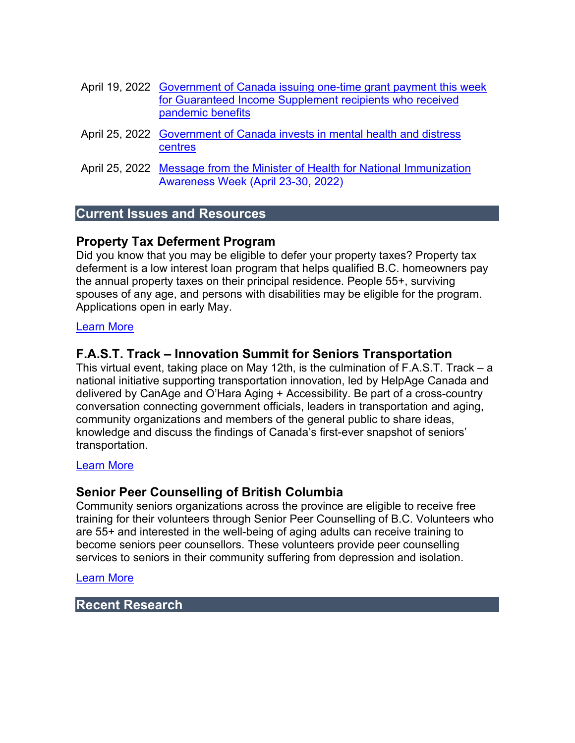- April 19, 2022 [Government of Canada issuing one-time grant payment this week](https://www.canada.ca/en/employment-social-development/news/2022/04/government-of-canada-issuing-one-time-grant-payment-this-week-for-guaranteed-income-supplement-recipients-who-received-pandemic-benefits.html)  [for Guaranteed Income Supplement recipients who received](https://www.canada.ca/en/employment-social-development/news/2022/04/government-of-canada-issuing-one-time-grant-payment-this-week-for-guaranteed-income-supplement-recipients-who-received-pandemic-benefits.html)  [pandemic benefits](https://www.canada.ca/en/employment-social-development/news/2022/04/government-of-canada-issuing-one-time-grant-payment-this-week-for-guaranteed-income-supplement-recipients-who-received-pandemic-benefits.html)
- April 25, 2022 [Government of Canada invests in mental health and distress](https://www.canada.ca/en/public-health/news/2022/04/government-of-canada-invests-in-mental-health-and-distress-centres0.html)  [centres](https://www.canada.ca/en/public-health/news/2022/04/government-of-canada-invests-in-mental-health-and-distress-centres0.html)
- April 25, 2022 [Message from the Minister of Health for National Immunization](https://www.canada.ca/en/health-canada/news/2022/04/message-from-the-minister-of-health-for-national-immunization-awareness-week-april-23-30-2022.html)  [Awareness Week \(April 23-30, 2022\)](https://www.canada.ca/en/health-canada/news/2022/04/message-from-the-minister-of-health-for-national-immunization-awareness-week-april-23-30-2022.html)

## **Current Issues and Resources**

## **Property Tax Deferment Program**

Did you know that you may be eligible to defer your property taxes? Property tax deferment is a low interest loan program that helps qualified B.C. homeowners pay the annual property taxes on their principal residence. People 55+, surviving spouses of any age, and persons with disabilities may be eligible for the program. Applications open in early May.

#### [Learn More](https://www.seniorsadvocatebc.ca/current-issues/property-tax-deferment-program/)

## **F.A.S.T. Track – Innovation Summit for Seniors Transportation**

This virtual event, taking place on May 12th, is the culmination of F.A.S.T. Track – a national initiative supporting transportation innovation, led by HelpAge Canada and delivered by CanAge and O'Hara Aging + Accessibility. Be part of a cross-country conversation connecting government officials, leaders in transportation and aging, community organizations and members of the general public to share ideas, knowledge and discuss the findings of Canada's first-ever snapshot of seniors' transportation.

#### [Learn More](https://bc.healthyagingcore.ca/training-events/fast-track-innovation-summit-seniors-transportation-may-12th-2022)

## **Senior Peer Counselling of British Columbia**

Community seniors organizations across the province are eligible to receive free training for their volunteers through Senior Peer Counselling of B.C. Volunteers who are 55+ and interested in the well-being of aging adults can receive training to become seniors peer counsellors. These volunteers provide peer counselling services to seniors in their community suffering from depression and isolation.

#### [Learn More](https://spcbc.ca/)

### **Recent Research**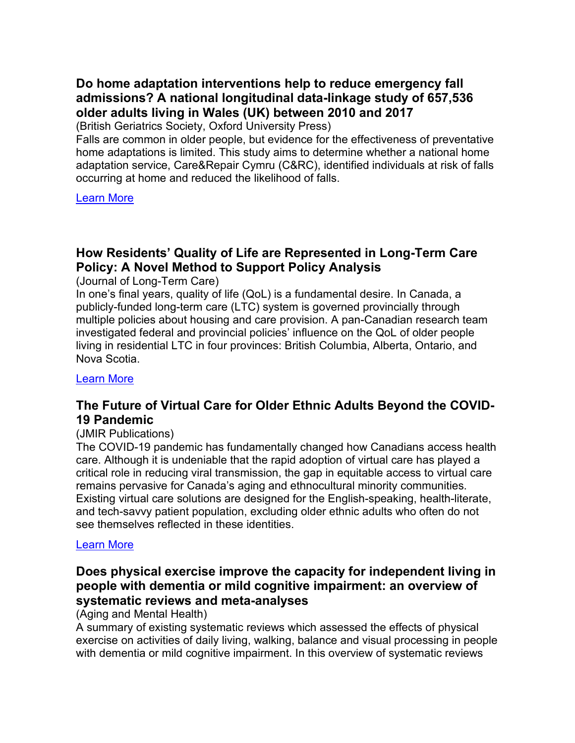# **Do home adaptation interventions help to reduce emergency fall admissions? A national longitudinal data-linkage study of 657,536 older adults living in Wales (UK) between 2010 and 2017**

(British Geriatrics Society, Oxford University Press)

Falls are common in older people, but evidence for the effectiveness of preventative home adaptations is limited. This study aims to determine whether a national home adaptation service, Care&Repair Cymru (C&RC), identified individuals at risk of falls occurring at home and reduced the likelihood of falls.

[Learn More](https://www.ncbi.nlm.nih.gov/pmc/articles/PMC8753038/pdf/afab201.pdf) 

# **How Residents' Quality of Life are Represented in Long-Term Care Policy: A Novel Method to Support Policy Analysis**

(Journal of Long-Term Care)

In one's final years, quality of life (QoL) is a fundamental desire. In Canada, a publicly-funded long-term care (LTC) system is governed provincially through multiple policies about housing and care provision. A pan-Canadian research team investigated federal and provincial policies' influence on the QoL of older people living in residential LTC in four provinces: British Columbia, Alberta, Ontario, and Nova Scotia.

[Learn More](https://journal.ilpnetwork.org/articles/10.31389/jltc.79/) 

## **The Future of Virtual Care for Older Ethnic Adults Beyond the COVID-19 Pandemic**

#### (JMIR Publications)

The COVID-19 pandemic has fundamentally changed how Canadians access health care. Although it is undeniable that the rapid adoption of virtual care has played a critical role in reducing viral transmission, the gap in equitable access to virtual care remains pervasive for Canada's aging and ethnocultural minority communities. Existing virtual care solutions are designed for the English-speaking, health-literate, and tech-savvy patient population, excluding older ethnic adults who often do not see themselves reflected in these identities.

#### [Learn More](https://www.jmir.org/2022/1/e29876)

### **Does physical exercise improve the capacity for independent living in people with dementia or mild cognitive impairment: an overview of systematic reviews and meta-analyses**

#### (Aging and Mental Health)

A summary of existing systematic reviews which assessed the effects of physical exercise on activities of daily living, walking, balance and visual processing in people with dementia or mild cognitive impairment. In this overview of systematic reviews